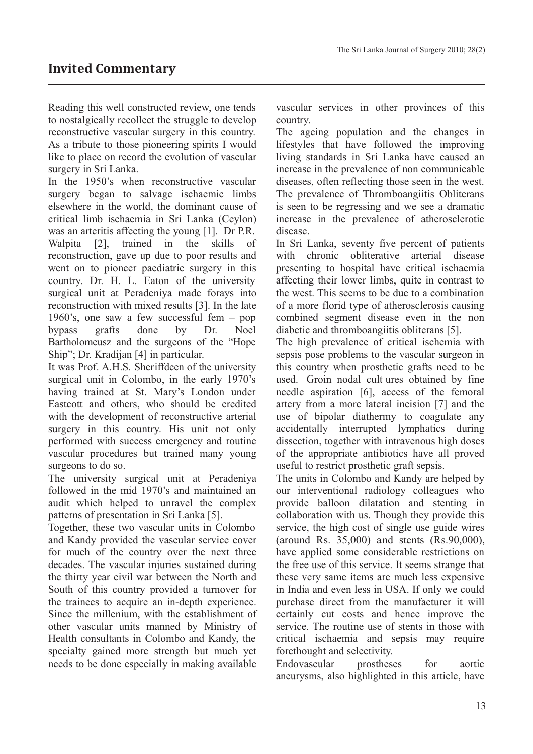Reading this well constructed review, one tends to nostalgically recollect the struggle to develop reconstructive vascular surgery in this country. As a tribute to those pioneering spirits I would like to place on record the evolution of vascular surgery in Sri Lanka.

In the 1950's when reconstructive vascular surgery began to salvage ischaemic limbs elsewhere in the world, the dominant cause of critical limb ischaemia in Sri Lanka (Ceylon) was an arteritis affecting the young [1]. Dr P.R. Walpita [2], trained in the skills of reconstruction, gave up due to poor results and went on to pioneer paediatric surgery in this country. Dr. H. L. Eaton of the university surgical unit at Peradeniya made forays into reconstruction with mixed results [3]. In the late 1960's, one saw a few successful fem – pop bypass grafts done by Dr. Noel Bartholomeusz and the surgeons of the "Hope Ship"; Dr. Kradijan [4] in particular.

It was Prof. A.H.S. Sheriffdeen of the university surgical unit in Colombo, in the early 1970's having trained at St. Mary's London under Eastcott and others, who should be credited with the development of reconstructive arterial surgery in this country. His unit not only performed with success emergency and routine vascular procedures but trained many young surgeons to do so.

The university surgical unit at Peradeniya followed in the mid 1970's and maintained an audit which helped to unravel the complex patterns of presentation in Sri Lanka [5].

Together, these two vascular units in Colombo and Kandy provided the vascular service cover for much of the country over the next three decades. The vascular injuries sustained during the thirty year civil war between the North and South of this country provided a turnover for the trainees to acquire an in-depth experience. Since the millenium, with the establishment of other vascular units manned by Ministry of Health consultants in Colombo and Kandy, the specialty gained more strength but much yet needs to be done especially in making available

vascular services in other provinces of this country.

The ageing population and the changes in lifestyles that have followed the improving living standards in Sri Lanka have caused an increase in the prevalence of non communicable diseases, often reflecting those seen in the west. The prevalence of Thromboangiitis Obliterans is seen to be regressing and we see a dramatic increase in the prevalence of atherosclerotic disease.

In Sri Lanka, seventy five percent of patients with chronic obliterative arterial disease presenting to hospital have critical ischaemia affecting their lower limbs, quite in contrast to the west. This seems to be due to a combination of a more florid type of atherosclerosis causing combined segment disease even in the non diabetic and thromboangiitis obliterans [5].

The high prevalence of critical ischemia with sepsis pose problems to the vascular surgeon in this country when prosthetic grafts need to be used. Groin nodal cult ures obtained by fine needle aspiration [6], access of the femoral artery from a more lateral incision [7] and the use of bipolar diathermy to coagulate any accidentally interrupted lymphatics during dissection, together with intravenous high doses of the appropriate antibiotics have all proved useful to restrict prosthetic graft sepsis.

The units in Colombo and Kandy are helped by our interventional radiology colleagues who provide balloon dilatation and stenting in collaboration with us. Though they provide this service, the high cost of single use guide wires (around Rs. 35,000) and stents (Rs.90,000), have applied some considerable restrictions on the free use of this service. It seems strange that these very same items are much less expensive in India and even less in USA. If only we could purchase direct from the manufacturer it will certainly cut costs and hence improve the service. The routine use of stents in those with critical ischaemia and sepsis may require forethought and selectivity.

Endovascular prostheses for aortic aneurysms, also highlighted in this article, have